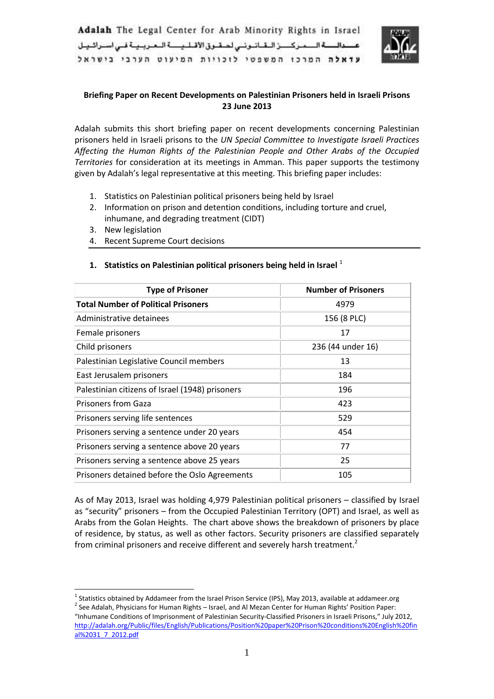

# **Briefing Paper on Recent Developments on Palestinian Prisoners held in Israeli Prisons 23 June 2013**

Adalah submits this short briefing paper on recent developments concerning Palestinian prisoners held in Israeli prisons to the *UN Special Committee to Investigate Israeli Practices Affecting the Human Rights of the Palestinian People and Other Arabs of the Occupied Territories* for consideration at its meetings in Amman. This paper supports the testimony given by Adalah's legal representative at this meeting. This briefing paper includes:

- 1. Statistics on Palestinian political prisoners being held by Israel
- 2. Information on prison and detention conditions, including torture and cruel, inhumane, and degrading treatment (CIDT)
- 3. New legislation

**.** 

4. Recent Supreme Court decisions

| <b>Type of Prisoner</b>                         | <b>Number of Prisoners</b> |
|-------------------------------------------------|----------------------------|
| <b>Total Number of Political Prisoners</b>      | 4979                       |
| Administrative detainees                        | 156 (8 PLC)                |
| Female prisoners                                | 17                         |
| Child prisoners                                 | 236 (44 under 16)          |
| Palestinian Legislative Council members         | 13                         |
| East Jerusalem prisoners                        | 184                        |
| Palestinian citizens of Israel (1948) prisoners | 196                        |
| <b>Prisoners from Gaza</b>                      | 423                        |
| Prisoners serving life sentences                | 529                        |
| Prisoners serving a sentence under 20 years     | 454                        |
| Prisoners serving a sentence above 20 years     | 77                         |
| Prisoners serving a sentence above 25 years     | 25                         |
| Prisoners detained before the Oslo Agreements   | 105                        |

#### **1. Statistics on Palestinian political prisoners being held in Israel** <sup>1</sup>

As of May 2013, Israel was holding 4,979 Palestinian political prisoners – classified by Israel as "security" prisoners – from the Occupied Palestinian Territory (OPT) and Israel, as well as Arabs from the Golan Heights. The chart above shows the breakdown of prisoners by place of residence, by status, as well as other factors. Security prisoners are classified separately from criminal prisoners and receive different and severely harsh treatment.<sup>2</sup>

<sup>&</sup>lt;sup>1</sup> Statistics obtained by Addameer from the Israel Prison Service (IPS), May 2013, available at addameer.org

 $^{2}$  See Adalah, Physicians for Human Rights – Israel, and Al Mezan Center for Human Rights' Position Paper: "Inhumane Conditions of Imprisonment of Palestinian Security-Classified Prisoners in Israeli Prisons," July 2012, [http://adalah.org/Public/files/English/Publications/Position%20paper%20Prison%20conditions%20English%20fin](http://adalah.org/Public/files/English/Publications/Position%20paper%20Prison%20conditions%20English%20final%2031_7_2012.pdf) [al%2031\\_7\\_2012.pdf](http://adalah.org/Public/files/English/Publications/Position%20paper%20Prison%20conditions%20English%20final%2031_7_2012.pdf)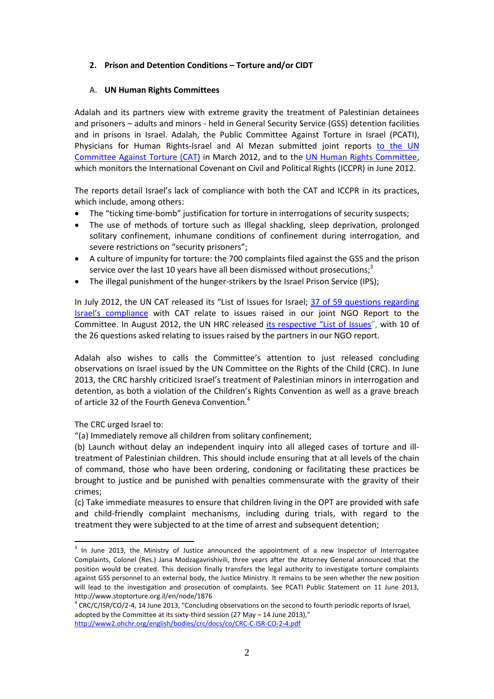#### **2. Prison and Detention Conditions – Torture and/or CIDT**

#### A. **UN Human Rights Committees**

Adalah and its partners view with extreme gravity the treatment of Palestinian detainees and prisoners – adults and minors - held in General Security Service (GSS) detention facilities and in prisons in Israel. Adalah, the Public Committee Against Torture in Israel (PCATI), Physicians for Human Rights-Israel and Al Mezan submitted joint reports to the UN Committee Against Torture (CAT) in March 2012, and to the [UN Human Rights Committee,](http://www.adalah.org/Public/files/English/International_Advocacy/Torture_HRC%20LOIPR%203%206%202012.pdf) which monitors the International Covenant on Civil and Political Rights (ICCPR) in June 2012.

The reports detail Israel's lack of compliance with both the CAT and ICCPR in its practices, which include, among others:

- The "ticking time-bomb" justification for torture in interrogations of security suspects;
- The use of methods of torture such as Illegal shackling, sleep deprivation, prolonged solitary confinement, inhumane conditions of confinement during interrogation, and severe restrictions on "security prisoners";
- A culture of impunity for torture: the 700 complaints filed against the GSS and the prison service over the last 10 years have all been dismissed without prosecutions;<sup>3</sup>
- The illegal punishment of the hunger-strikers by the Israel Prison Service (IPS);

In July 2012, the UN CAT released its "List of Issues for Israel; [37 of 59 questions regarding](http://www.adalah.org/eng/?mod=articles&ID=1814)  [Israel's compliance](http://www.adalah.org/eng/?mod=articles&ID=1814) with CAT relate to issues raised in our joint NGO Report to the Committee. In August 2012, the UN HRC released [its respective "List of Issues"](http://www.adalah.org/eng/Articles/1832/UN-Human-Rights-Committee-Questions-Israel-on), with 10 of the 26 questions asked relating to issues raised by the partners in our NGO report.

Adalah also wishes to calls the Committee's attention to just released concluding observations on Israel issued by the UN Committee on the Rights of the Child (CRC). In June 2013, the CRC harshly criticized Israel's treatment of Palestinian minors in interrogation and detention, as both a violation of the Children's Rights Convention as well as a grave breach of article 32 of the Fourth Geneva Convention.<sup>4</sup>

The CRC urged Israel to:

**.** 

"(a) Immediately remove all children from solitary confinement;

(b) Launch without delay an independent inquiry into all alleged cases of torture and illtreatment of Palestinian children. This should include ensuring that at all levels of the chain of command, those who have been ordering, condoning or facilitating these practices be brought to justice and be punished with penalties commensurate with the gravity of their crimes;

(c) Take immediate measures to ensure that children living in the OPT are provided with safe and child-friendly complaint mechanisms, including during trials, with regard to the treatment they were subjected to at the time of arrest and subsequent detention;

<sup>&</sup>lt;sup>3</sup> In June 2013, the Ministry of Justice announced the appointment of a new Inspector of Interrogatee Complaints, Colonel (Res.) Jana Modzagavrishivili, three years after the Attorney General announced that the position would be created. This decision finally transfers the legal authority to investigate torture complaints against GSS personnel to an external body, the Justice Ministry. It remains to be seen whether the new position will lead to the investigation and prosecution of complaints. See PCATI Public Statement on 11 June 2013, http://www.stoptorture.org.il/en/node/1876

<sup>&</sup>lt;sup>4</sup> CRC/C/ISR/CO/2-4, 14 June 2013, "Concluding observations on the second to fourth periodic reports of Israel, adopted by the Committee at its sixty-third session (27 May – 14 June 2013)," <http://www2.ohchr.org/english/bodies/crc/docs/co/CRC-C-ISR-CO-2-4.pdf>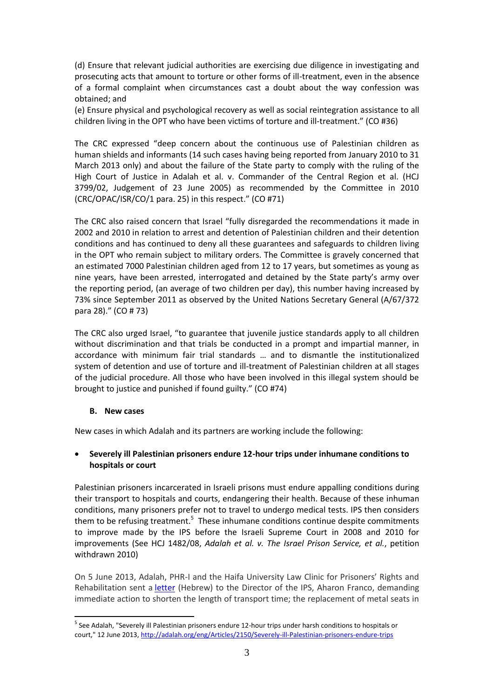(d) Ensure that relevant judicial authorities are exercising due diligence in investigating and prosecuting acts that amount to torture or other forms of ill-treatment, even in the absence of a formal complaint when circumstances cast a doubt about the way confession was obtained; and

(e) Ensure physical and psychological recovery as well as social reintegration assistance to all children living in the OPT who have been victims of torture and ill-treatment." (CO #36)

The CRC expressed "deep concern about the continuous use of Palestinian children as human shields and informants (14 such cases having being reported from January 2010 to 31 March 2013 only) and about the failure of the State party to comply with the ruling of the High Court of Justice in Adalah et al. v. Commander of the Central Region et al. (HCJ 3799/02, Judgement of 23 June 2005) as recommended by the Committee in 2010 (CRC/OPAC/ISR/CO/1 para. 25) in this respect." (CO #71)

The CRC also raised concern that Israel "fully disregarded the recommendations it made in 2002 and 2010 in relation to arrest and detention of Palestinian children and their detention conditions and has continued to deny all these guarantees and safeguards to children living in the OPT who remain subject to military orders. The Committee is gravely concerned that an estimated 7000 Palestinian children aged from 12 to 17 years, but sometimes as young as nine years, have been arrested, interrogated and detained by the State party's army over the reporting period, (an average of two children per day), this number having increased by 73% since September 2011 as observed by the United Nations Secretary General (A/67/372 para 28)." (CO # 73)

The CRC also urged Israel, "to guarantee that juvenile justice standards apply to all children without discrimination and that trials be conducted in a prompt and impartial manner, in accordance with minimum fair trial standards … and to dismantle the institutionalized system of detention and use of torture and ill-treatment of Palestinian children at all stages of the judicial procedure. All those who have been involved in this illegal system should be brought to justice and punished if found guilty." (CO #74)

#### **B. New cases**

**.** 

New cases in which Adalah and its partners are working include the following:

### **Severely ill Palestinian prisoners endure 12-hour trips under inhumane conditions to hospitals or court**

Palestinian prisoners incarcerated in Israeli prisons must endure appalling conditions during their transport to hospitals and courts, endangering their health. Because of these inhuman conditions, many prisoners prefer not to travel to undergo medical tests. IPS then considers them to be refusing treatment.<sup>5</sup> These inhumane conditions continue despite commitments to improve made by the IPS before the Israeli Supreme Court in 2008 and 2010 for improvements (See HCJ 1482/08, *[Adalah et al. v. The Israel Prison Service, et al.](http://www.adalah.org/eng/case/4/HCJ-1482_08)*, petition withdrawn 2010)

On 5 June 2013, Adalah, PHR-I and the Haifa University Law Clinic for Prisoners' Rights and Rehabilitation sent a [letter](http://adalah.org/Public/files/Hebrew/Legal_Advocacy/Letter-Posta05-06-2013.pdf) (Hebrew) to the Director of the IPS, Aharon Franco, demanding immediate action to shorten the length of transport time; the replacement of metal seats in

<sup>&</sup>lt;sup>5</sup> See Adalah, "Severely ill Palestinian prisoners endure 12-hour trips under harsh conditions to hospitals or court," 12 June 2013,<http://adalah.org/eng/Articles/2150/Severely-ill-Palestinian-prisoners-endure-trips>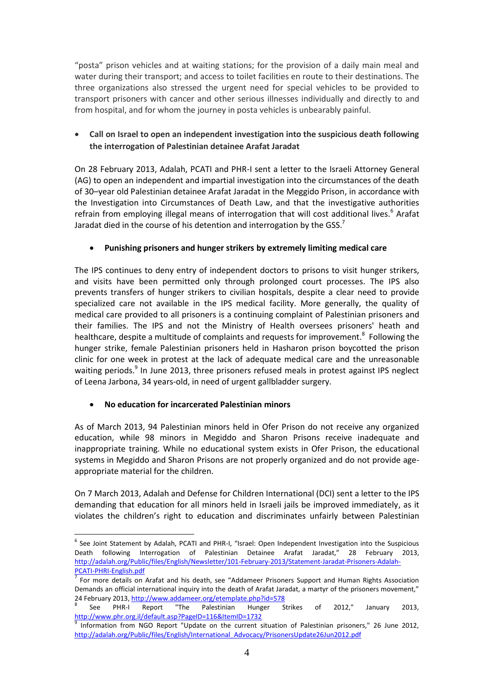"posta" prison vehicles and at waiting stations; for the provision of a daily main meal and water during their transport; and access to toilet facilities en route to their destinations. The three organizations also stressed the urgent need for special vehicles to be provided to transport prisoners with cancer and other serious illnesses individually and directly to and from hospital, and for whom the journey in posta vehicles is unbearably painful.

# **Call on Israel to open an independent investigation into the suspicious death following the interrogation of Palestinian detainee Arafat Jaradat**

On 28 February 2013, Adalah, PCATI and PHR-I sent a letter to the Israeli Attorney General (AG) to open an independent and impartial investigation into the circumstances of the death of 30–year old Palestinian detainee Arafat Jaradat in the Meggido Prison, in accordance with the Investigation into Circumstances of Death Law, and that the investigative authorities refrain from employing illegal means of interrogation that will cost additional lives.<sup>6</sup> Arafat Jaradat died in the course of his detention and interrogation by the GSS.<sup>7</sup>

### **Punishing prisoners and hunger strikers by extremely limiting medical care**

The IPS continues to deny entry of independent doctors to prisons to visit hunger strikers, and visits have been permitted only through prolonged court processes. The IPS also prevents transfers of hunger strikers to civilian hospitals, despite a clear need to provide specialized care not available in the IPS medical facility. More generally, the quality of medical care provided to all prisoners is a continuing complaint of Palestinian prisoners and their families. The IPS and not the Ministry of Health oversees prisoners' heath and healthcare, despite a multitude of complaints and requests for improvement.<sup>8</sup> Following the hunger strike, female Palestinian prisoners held in Hasharon prison boycotted the prison clinic for one week in protest at the lack of adequate medical care and the unreasonable waiting periods.<sup>9</sup> In June 2013, three prisoners refused meals in protest against IPS neglect of Leena Jarbona, 34 years-old, in need of urgent gallbladder surgery.

### **No education for incarcerated Palestinian minors**

As of March 2013, 94 Palestinian minors held in Ofer Prison do not receive any organized education, while 98 minors in Megiddo and Sharon Prisons receive inadequate and inappropriate training. While no educational system exists in Ofer Prison, the educational systems in Megiddo and Sharon Prisons are not properly organized and do not provide ageappropriate material for the children.

On 7 March 2013, Adalah and Defense for Children International (DCI) sent a letter to the IPS demanding that education for all minors held in Israeli jails be improved immediately, as it violates the children's right to education and discriminates unfairly between Palestinian

**<sup>.</sup>** <sup>6</sup> See Joint Statement by Adalah, PCATI and PHR-I, "Israel: Open Independent Investigation into the Suspicious Death following Interrogation of Palestinian Detainee Arafat Jaradat," 28 February 2013, [http://adalah.org/Public/files/English/Newsletter/101-February-2013/Statement-Jaradat-Prisoners-Adalah-](http://adalah.org/Public/files/English/Newsletter/101-February-2013/Statement-Jaradat-Prisoners-Adalah-PCATI-PHRI-English.pdf)[PCATI-PHRI-English.pdf](http://adalah.org/Public/files/English/Newsletter/101-February-2013/Statement-Jaradat-Prisoners-Adalah-PCATI-PHRI-English.pdf)

<sup>&</sup>lt;sup>7</sup> For more details on Arafat and his death, see "Addameer Prisoners Support and Human Rights Association Demands an official international inquiry into the death of Arafat Jaradat, a martyr of the prisoners movement," 24 February 2013[, http://www.addameer.org/etemplate.php?id=578](http://www.addameer.org/etemplate.php?id=578)

<sup>8</sup> See PHR-I Report "The Palestinian Hunger Strikes of 2012," January 2013, <http://www.phr.org.il/default.asp?PageID=116&ItemID=1732>

<sup>9</sup> Information from NGO Report "Update on the current situation of Palestinian prisoners," 26 June 2012, [http://adalah.org/Public/files/English/International\\_Advocacy/PrisonersUpdate26Jun2012.pdf](http://adalah.org/Public/files/English/International_Advocacy/PrisonersUpdate26Jun2012.pdf)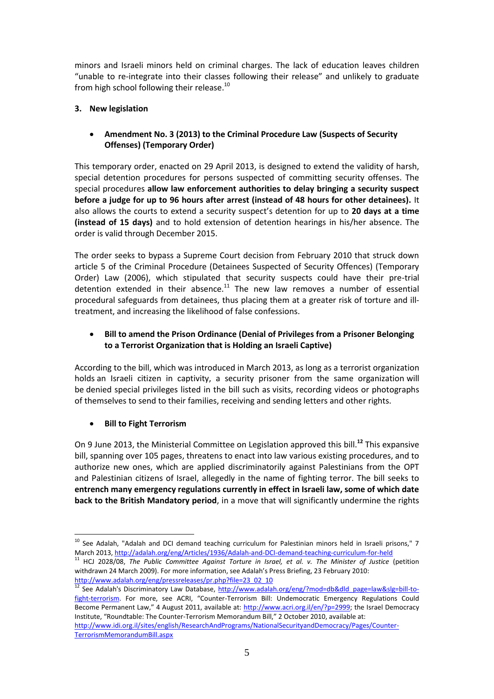minors and Israeli minors held on criminal charges. The lack of education leaves children "unable to re-integrate into their classes following their release" and unlikely to graduate from high school following their release.<sup>10</sup>

# **3. New legislation**

# **Amendment No. 3 (2013) to the Criminal Procedure Law (Suspects of Security Offenses) (Temporary Order)**

This temporary order, enacted on 29 April 2013, is designed to extend the validity of harsh, special detention procedures for persons suspected of committing security offenses. The special procedures **allow law enforcement authorities to delay bringing a security suspect before a judge for up to 96 hours after arrest (instead of 48 hours for other detainees).** It also allows the courts to extend a security suspect's detention for up to **20 days at a time (instead of 15 days)** and to hold extension of detention hearings in his/her absence. The order is valid through December 2015.

The order seeks to bypass a Supreme Court decision from February 2010 that struck down article 5 of the Criminal Procedure (Detainees Suspected of Security Offences) (Temporary Order) Law (2006), which stipulated that security suspects could have their pre-trial detention extended in their absence. $11$  The new law removes a number of essential procedural safeguards from detainees, thus placing them at a greater risk of torture and illtreatment, and increasing the likelihood of false confessions.

# **Bill to amend the Prison Ordinance (Denial of Privileges from a Prisoner Belonging to a Terrorist Organization that is Holding an Israeli Captive)**

According to the bill, which was introduced in March 2013, as long as a terrorist organization holds an Israeli citizen in captivity, a security prisoner from the same organization will be denied special privileges listed in the bill such as visits, recording videos or photographs of themselves to send to their families, receiving and sending letters and other rights.

# **Bill to Fight Terrorism**

On 9 June 2013, the Ministerial Committee on Legislation approved this bill.**<sup>12</sup>** This expansive bill, spanning over 105 pages, threatens to enact into law various existing procedures, and to authorize new ones, which are applied discriminatorily against Palestinians from the OPT and Palestinian citizens of Israel, allegedly in the name of fighting terror. The bill seeks to **entrench many emergency regulations currently in effect in Israeli law, some of which date back to the British Mandatory period**, in a move that will significantly undermine the rights

**.** 

 $10$  See Adalah, "Adalah and DCI demand teaching curriculum for Palestinian minors held in Israeli prisons," 7 March 2013[, http://adalah.org/eng/Articles/1936/Adalah-and-DCI-demand-teaching-curriculum-for-held](http://adalah.org/eng/Articles/1936/Adalah-and-DCI-demand-teaching-curriculum-for-held)

<sup>11</sup> HCJ 2028/08, *The Public Committee Against Torture in Israel, et al. v. The Minister of Justice* (petition withdrawn 24 March 2009). For more information, see Adalah's Press Briefing, 23 February 2010: [http://www.adalah.org/eng/pressreleases/pr.php?file=23\\_02\\_10](http://www.adalah.org/eng/pressreleases/pr.php?file=23_02_10)

<sup>&</sup>lt;sup>12</sup> See Adalah's Discriminatory Law Database, [http://www.adalah.org/eng/?mod=db&dld\\_page=law&slg=bill-to](http://www.adalah.org/eng/?mod=db&dld_page=law&slg=bill-to-fight-terrorism)[fight-terrorism](http://www.adalah.org/eng/?mod=db&dld_page=law&slg=bill-to-fight-terrorism). For more, see ACRI, "Counter-Terrorism Bill: Undemocratic Emergency Regulations Could Become Permanent Law," 4 August 2011, available at: [http://www.acri.org.il/en/?p=2999;](http://www.acri.org.il/en/?p=2999) the Israel Democracy Institute, "Roundtable: The Counter-Terrorism Memorandum Bill," 2 October 2010, available at: [http://www.idi.org.il/sites/english/ResearchAndPrograms/NationalSecurityandDemocracy/Pages/Counter-](http://www.idi.org.il/sites/english/ResearchAndPrograms/NationalSecurityandDemocracy/Pages/Counter-TerrorismMemorandumBill.aspx)

[TerrorismMemorandumBill.aspx](http://www.idi.org.il/sites/english/ResearchAndPrograms/NationalSecurityandDemocracy/Pages/Counter-TerrorismMemorandumBill.aspx)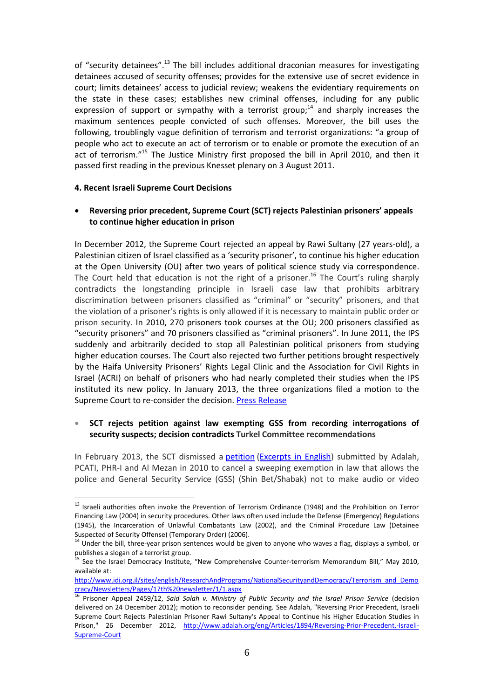of "security detainees".<sup>13</sup> The bill includes additional draconian measures for investigating detainees accused of security offenses; provides for the extensive use of secret evidence in court; limits detainees' access to judicial review; weakens the evidentiary requirements on the state in these cases; establishes new criminal offenses, including for any public expression of support or sympathy with a terrorist group;<sup>14</sup> and sharply increases the maximum sentences people convicted of such offenses. Moreover, the bill uses the following, troublingly vague definition of terrorism and terrorist organizations: "a group of people who act to execute an act of terrorism or to enable or promote the execution of an act of terrorism."<sup>15</sup> The Justice Ministry first proposed the bill in April 2010, and then it passed first reading in the previous Knesset plenary on 3 August 2011.

#### **4. Recent Israeli Supreme Court Decisions**

**.** 

#### **Reversing prior precedent, Supreme Court (SCT) rejects Palestinian prisoners' appeals to continue higher education in prison**

In December 2012, the Supreme Court rejected an appeal by Rawi Sultany (27 years-old), a Palestinian citizen of Israel classified as a 'security prisoner', to continue his higher education at the Open University (OU) after two years of political science study via correspondence. The Court held that education is not the right of a prisoner.<sup>16</sup> The Court's ruling sharply contradicts the longstanding principle in Israeli case law that prohibits arbitrary discrimination between prisoners classified as "criminal" or "security" prisoners, and that the violation of a prisoner's rights is only allowed if it is necessary to maintain public order or prison security. In 2010, 270 prisoners took courses at the OU; 200 prisoners classified as "security prisoners" and 70 prisoners classified as "criminal prisoners". In June 2011, the IPS suddenly and arbitrarily decided to stop all Palestinian political prisoners from studying higher education courses. The Court also rejected two further petitions brought respectively by the Haifa University Prisoners' Rights Legal Clinic and the Association for Civil Rights in Israel (ACRI) on behalf of prisoners who had nearly completed their studies when the IPS instituted its new policy. In January 2013, the three organizations filed a motion to the Supreme Court to re-consider the decision. [Press Release](http://www.adalah.org/eng/Articles/1894/Reversing-Prior-Precedent,-Israeli-Supreme-Court)

#### **SCT rejects petition against law exempting GSS from recording interrogations of security suspects; decision contradicts Turkel Committee recommendations**

In February 2013, the SCT dismissed a [petition](http://www.adalah.org/upfiles/9416-10.pdf) [\(Excerpts in English\)](http://adalah.org/Public/files/English/Publications/On-Torture/On-Torture-English-12-HCJ941610-73-83.pdf) submitted by Adalah, PCATI, PHR-I and Al Mezan in 2010 to cancel a sweeping exemption in law that allows the police and General Security Service (GSS) (Shin Bet/Shabak) not to make audio or video

<sup>&</sup>lt;sup>13</sup> Israeli authorities often invoke the Prevention of Terrorism Ordinance (1948) and the Prohibition on Terror Financing Law (2004) in security procedures. Other laws often used include the Defense (Emergency) Regulations (1945), the Incarceration of Unlawful Combatants Law (2002), and the Criminal Procedure Law (Detainee Suspected of Security Offense) (Temporary Order) (2006).

<sup>14</sup> Under the bill, three-year prison sentences would be given to anyone who waves a flag, displays a symbol, or publishes a slogan of a terrorist group.

<sup>15</sup> See the Israel Democracy Institute, "New Comprehensive Counter-terrorism Memorandum Bill," May 2010, available at:

[http://www.idi.org.il/sites/english/ResearchAndPrograms/NationalSecurityandDemocracy/Terrorism\\_and\\_Demo](http://www.idi.org.il/sites/english/ResearchAndPrograms/NationalSecurityandDemocracy/Terrorism_and_Democracy/Newsletters/Pages/17th%20newsletter/1/1.aspx) [cracy/Newsletters/Pages/17th%20newsletter/1/1.aspx](http://www.idi.org.il/sites/english/ResearchAndPrograms/NationalSecurityandDemocracy/Terrorism_and_Democracy/Newsletters/Pages/17th%20newsletter/1/1.aspx)

<sup>16</sup> Prisoner Appeal 2459/12, *Said Salah v. Ministry of Public Security and the Israel Prison Service* (decision delivered on 24 December 2012); motion to reconsider pending. See Adalah, "Reversing Prior Precedent, Israeli Supreme Court Rejects Palestinian Prisoner Rawi Sultany's Appeal to Continue his Higher Education Studies in Prison," 26 December 2012, [http://www.adalah.org/eng/Articles/1894/Reversing-Prior-Precedent,-Israeli-](http://www.adalah.org/eng/Articles/1894/Reversing-Prior-Precedent,-Israeli-Supreme-Court)[Supreme-Court](http://www.adalah.org/eng/Articles/1894/Reversing-Prior-Precedent,-Israeli-Supreme-Court)